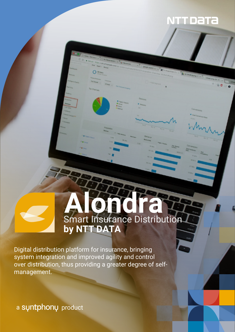## NTT DaTa

# **Alondra** Smart Insurance Distribution **by NTT DATA**

Digital distribution platform for insurance, bringing system integration and improved agility and control over distribution, thus providing a greater degree of selfmanagement.

a suntphonu product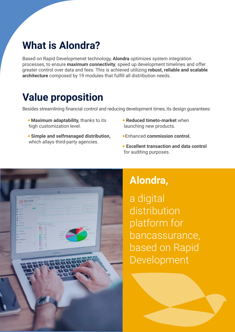## **What is Alondra?**

Based on Rapid Developmenet technology, **Alondra** optimizes system integration processes, to ensure **maximum connectivity**, speed up development timelines and offer greater control over data and fees. This is achieved utilizing **robust, reliable and scalable architecture** composed by 19 modules that fulfill all distribution needs.

# **Value proposition**

Besides streamlining financial control and reducing development times, its design guarantees:

- **Maximum adaptability, thanks to its** high customization level.
- **Simple and selfmanaged distribution,** which allays third-party agencies.
- **Reduced timeto-market** when launching new products.
- Enhanced **commission control.**
- **Excellent transaction and data control** for auditing purposes.



## **Alondra,**

a digital distribution platform for bancassurance, based on Rapid Development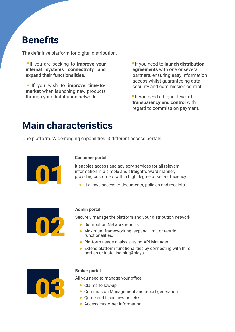## **Benefits**

The definitive platform for digital distribution.

**If you are seeking to improve your internal systems connectivity and expand their functionalities.**

**.** If you wish to improve time-to**market** when launching new products through your distribution network.

**If you need to launch distribution agreements** with one or several partners, ensuring easy information access whilst guaranteeing data security and commission control.

 If you need a higher level **of transparency and control** with regard to commission payment.

## **Main characteristics**

One platform. Wide-ranging capabilities. 3 different access portals.



### **Customer portal:**

It enables access and advisory services for all relevant information in a simple and straightforward manner, providing customers with a high degree of self-sufficiency.

It allows access to documents, policies and receipts.



### **Admin portal:**

Securely manage the platform and your distribution network.

- **Distribution Network reports.**
- Maximum frameworking: expand, limit or restrict functionalities.
- Platform usage analysis using API Manager
- Extend platform functionalities by connecting with third parties or installing plug&plays.



### **Broker portal:**

All you need to manage your office.

- Claims follow-up.
- Commission Management and report generation.
- Quote and issue new policies.
- Access customer Information.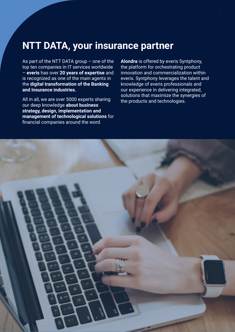## **NTT DATA, your insurance partner**

As part of the NTT DATA group – one of the top ten companies in IT services worldwide – **everis** has over **20 years of expertise** and is recognized as one of the main agents in the **digital transformation of the Banking and Insurance industries.**

All in all, we are over 5000 experts sharing our deep knowledge **about business strategy, design, implementation and management of technological solutions** for financial companies around the word.

**Alondra** is offered by everis Syntphony, the platform for orchestrating product innovation and commercialization within everis. Syntphony leverages the talent and knowledge of everis professionals and our experience in delivering integrated, solutions that maximize the synergies of the products and technologies.

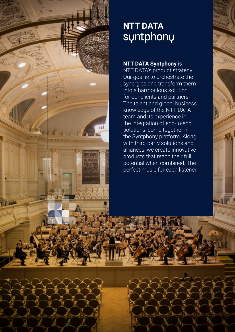

# **NTT DATA**

## **NTT DATA Syntphony** is

NTT DATA's product strategy. Our goal is to orchestrate the synergies and transform them into a harmonious solution for our clients and partners. The talent and global business knowledge of the NTT DATA team and its experience in the integration of end-to-end solutions, come together in the Syntphony platform. Along with third-party solutions and alliances, we create innovative products that reach their full potential when combined. The perfect music for each listener.